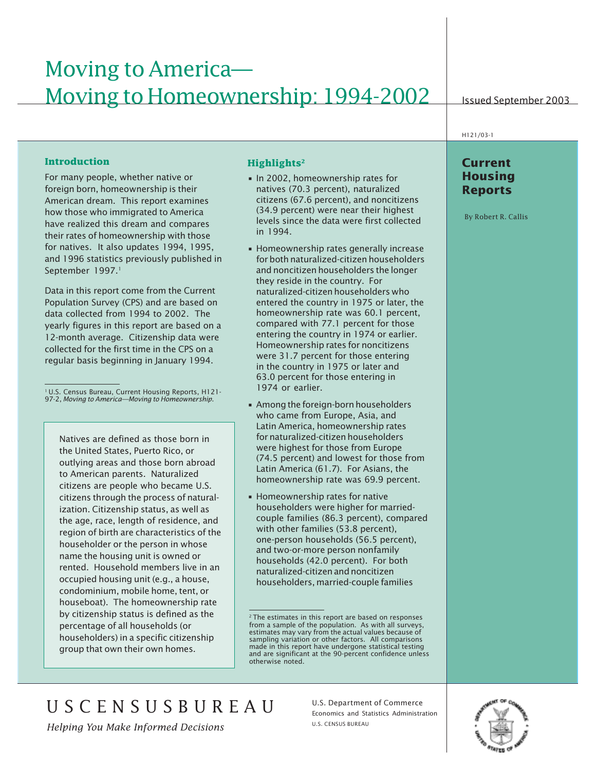# Moving to America— Moving to Homeownership: 1994-2002

Issued September 2003

# **Introduction**

For many people, whether native or foreign born, homeownership is their American dream. This report examines how those who immigrated to America have realized this dream and compares their rates of homeownership with those for natives. It also updates 1994, 1995, and 1996 statistics previously published in September 1997.<sup>1</sup>

Data in this report come from the Current Population Survey (CPS) and are based on data collected from 1994 to 2002. The yearly figures in this report are based on a 12-month average. Citizenship data were collected for the first time in the CPS on a regular basis beginning in January 1994.

1 U.S. Census Bureau, Current Housing Reports, H121- 97-2, *Moving to America—Moving to Homeownership*.

Natives are defined as those born in the United States, Puerto Rico, or outlying areas and those born abroad to American parents. Naturalized citizens are people who became U.S. citizens through the process of naturalization. Citizenship status, as well as the age, race, length of residence, and region of birth are characteristics of the householder or the person in whose name the housing unit is owned or rented. Household members live in an occupied housing unit (e.g., a house, condominium, mobile home, tent, or houseboat). The homeownership rate by citizenship status is defined as the percentage of all households (or householders) in a specific citizenship group that own their own homes.

#### **Highlights2**

- In 2002, homeownership rates for natives (70.3 percent), naturalized citizens (67.6 percent), and noncitizens (34.9 percent) were near their highest levels since the data were first collected in 1994.
- Homeownership rates generally increase for both naturalized-citizen householders and noncitizen householders the longer they reside in the country. For naturalized-citizen householders who entered the country in 1975 or later, the homeownership rate was 60.1 percent, compared with 77.1 percent for those entering the country in 1974 or earlier. Homeownership rates for noncitizens were 31.7 percent for those entering in the country in 1975 or later and 63.0 percent for those entering in 1974 or earlier.
- Among the foreign-born householders who came from Europe, Asia, and Latin America, homeownership rates for naturalized-citizen householders were highest for those from Europe (74.5 percent) and lowest for those from Latin America (61.7). For Asians, the homeownership rate was 69.9 percent.
- Homeownership rates for native householders were higher for marriedcouple families (86.3 percent), compared with other families (53.8 percent), one-person households (56.5 percent), and two-or-more person nonfamily households (42.0 percent). For both naturalized-citizen and noncitizen householders, married-couple families

<sup>2</sup> The estimates in this report are based on responses from a sample of the population. As with all surveys, estimates may vary from the actual values because of sampling variation or other factors. All comparisons made in this report have undergone statistical testing and are significant at the 90-percent confidence unless otherwise noted.

# H121/03-1

# **Current Housing Reports**

By Robert R. Callis

U S C E N S U S B U R E A U

U.S. Census Bureau 1 *Helping You Make Informed Decisions*

U.S. Department of Commerce Economics and Statistics Administration U.S. CENSUS BUREAU

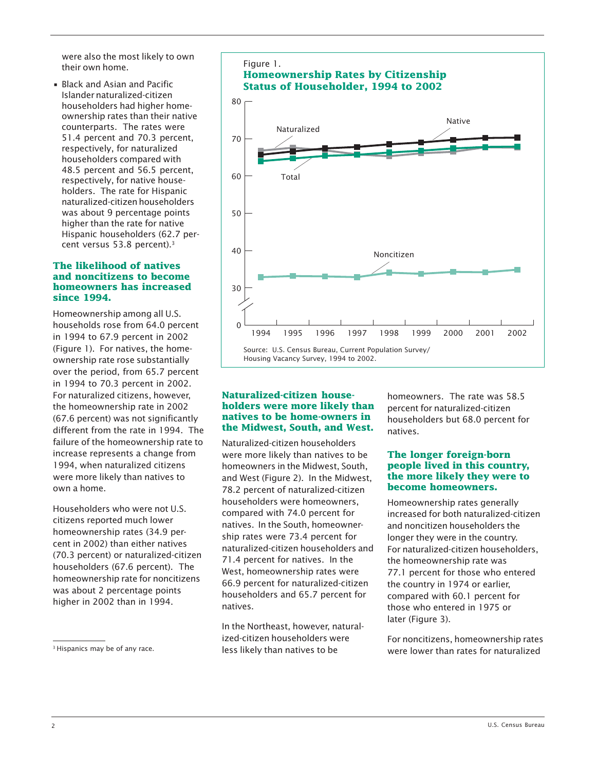were also the most likely to own their own home.

• Black and Asian and Pacific Islander naturalized-citizen householders had higher homeownership rates than their native counterparts. The rates were 51.4 percent and 70.3 percent, respectively, for naturalized householders compared with 48.5 percent and 56.5 percent, respectively, for native householders. The rate for Hispanic naturalized-citizen householders was about 9 percentage points higher than the rate for native Hispanic householders (62.7 percent versus 53.8 percent).<sup>3</sup>

#### **The likelihood of natives and noncitizens to become homeowners has increased since 1994.**

Homeownership among all U.S. households rose from 64.0 percent in 1994 to 67.9 percent in 2002 (Figure 1). For natives, the homeownership rate rose substantially over the period, from 65.7 percent in 1994 to 70.3 percent in 2002. For naturalized citizens, however, the homeownership rate in 2002 (67.6 percent) was not significantly different from the rate in 1994. The failure of the homeownership rate to increase represents a change from 1994, when naturalized citizens were more likely than natives to own a home.

Householders who were not U.S. citizens reported much lower homeownership rates (34.9 percent in 2002) than either natives (70.3 percent) or naturalized-citizen householders (67.6 percent). The homeownership rate for noncitizens was about 2 percentage points higher in 2002 than in 1994.



#### **Naturalized-citizen householders were more likely than natives to be home-owners in the Midwest, South, and West.**

Naturalized-citizen householders were more likely than natives to be homeowners in the Midwest, South, and West (Figure 2). In the Midwest, 78.2 percent of naturalized-citizen householders were homeowners, compared with 74.0 percent for natives. In the South, homeownership rates were 73.4 percent for naturalized-citizen householders and 71.4 percent for natives. In the West, homeownership rates were 66.9 percent for naturalized-citizen householders and 65.7 percent for natives.

In the Northeast, however, naturalized-citizen householders were less likely than natives to be

homeowners. The rate was 58.5 percent for naturalized-citizen householders but 68.0 percent for natives.

#### **The longer foreign-born people lived in this country, the more likely they were to become homeowners.**

Homeownership rates generally increased for both naturalized-citizen and noncitizen householders the longer they were in the country. For naturalized-citizen householders, the homeownership rate was 77.1 percent for those who entered the country in 1974 or earlier, compared with 60.1 percent for those who entered in 1975 or later (Figure 3).

For noncitizens, homeownership rates <sup>3</sup> Hispanics may be of any race. The section of less likely than natives to be the vere lower than rates for naturalized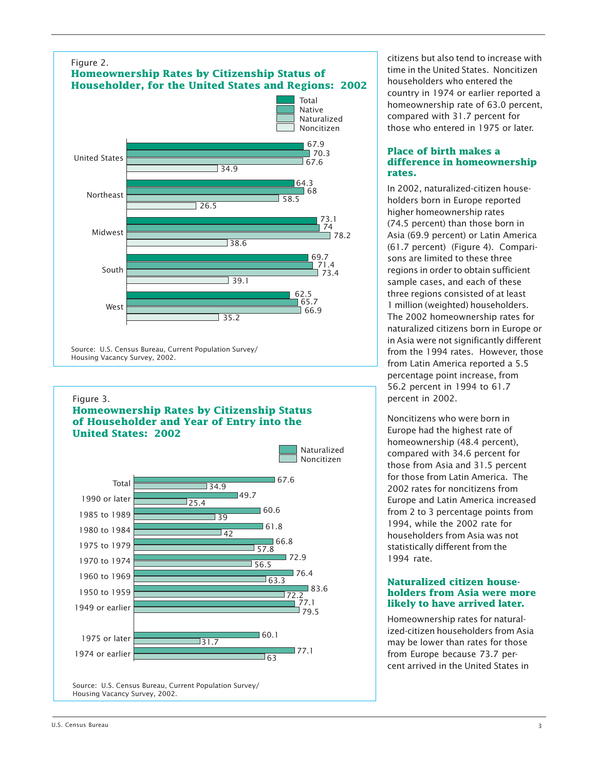

Housing Vacancy Survey, 2002.

#### Figure 3.

## **Homeownership Rates by Citizenship Status of Householder and Year of Entry into the United States: 2002**



citizens but also tend to increase with time in the United States. Noncitizen householders who entered the country in 1974 or earlier reported a homeownership rate of 63.0 percent, compared with 31.7 percent for those who entered in 1975 or later.

#### **Place of birth makes a difference in homeownership rates.**

In 2002, naturalized-citizen householders born in Europe reported higher homeownership rates (74.5 percent) than those born in Asia (69.9 percent) or Latin America (61.7 percent) (Figure 4). Comparisons are limited to these three regions in order to obtain sufficient sample cases, and each of these three regions consisted of at least 1 million (weighted) householders. The 2002 homeownership rates for naturalized citizens born in Europe or in Asia were not significantly different from the 1994 rates. However, those from Latin America reported a 5.5 percentage point increase, from 56.2 percent in 1994 to 61.7 percent in 2002.

Noncitizens who were born in Europe had the highest rate of homeownership (48.4 percent), compared with 34.6 percent for those from Asia and 31.5 percent for those from Latin America. The 2002 rates for noncitizens from Europe and Latin America increased from 2 to 3 percentage points from 1994, while the 2002 rate for householders from Asia was not statistically different from the 1994 rate.

#### **Naturalized citizen householders from Asia were more likely to have arrived later.**

Homeownership rates for naturalized-citizen householders from Asia may be lower than rates for those from Europe because 73.7 percent arrived in the United States in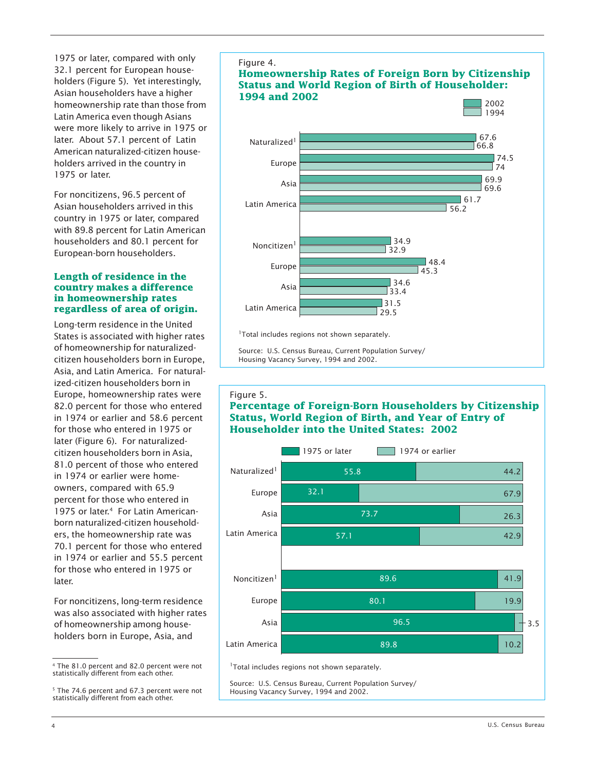1975 or later, compared with only 32.1 percent for European householders (Figure 5). Yet interestingly, Asian householders have a higher homeownership rate than those from Latin America even though Asians were more likely to arrive in 1975 or later. About 57.1 percent of Latin American naturalized-citizen householders arrived in the country in 1975 or later.

For noncitizens, 96.5 percent of Asian householders arrived in this country in 1975 or later, compared with 89.8 percent for Latin American householders and 80.1 percent for European-born householders.

#### **Length of residence in the country makes a difference in homeownership rates regardless of area of origin.**

Long-term residence in the United States is associated with higher rates of homeownership for naturalizedcitizen householders born in Europe, Asia, and Latin America. For naturalized-citizen householders born in Europe, homeownership rates were 82.0 percent for those who entered in 1974 or earlier and 58.6 percent for those who entered in 1975 or later (Figure 6). For naturalizedcitizen householders born in Asia, 81.0 percent of those who entered in 1974 or earlier were homeowners, compared with 65.9 percent for those who entered in 1975 or later<sup>4</sup> For Latin Americanborn naturalized-citizen householders, the homeownership rate was 70.1 percent for those who entered in 1974 or earlier and 55.5 percent for those who entered in 1975 or later.

For noncitizens, long-term residence was also associated with higher rates of homeownership among householders born in Europe, Asia, and



<sup>&</sup>lt;sup>5</sup> The 74.6 percent and 67.3 percent were not statistically different from each other.



<sup>1</sup>Total includes regions not shown separately.

Source: U.S. Census Bureau, Current Population Survey/ Housing Vacancy Survey, 1994 and 2002.

#### Figure 5.

# **Percentage of Foreign-Born Householders by Citizenship Status, World Region of Birth, and Year of Entry of Householder into the United States: 2002**



Source: U.S. Census Bureau, Current Population Survey/ Housing Vacancy Survey, 1994 and 2002.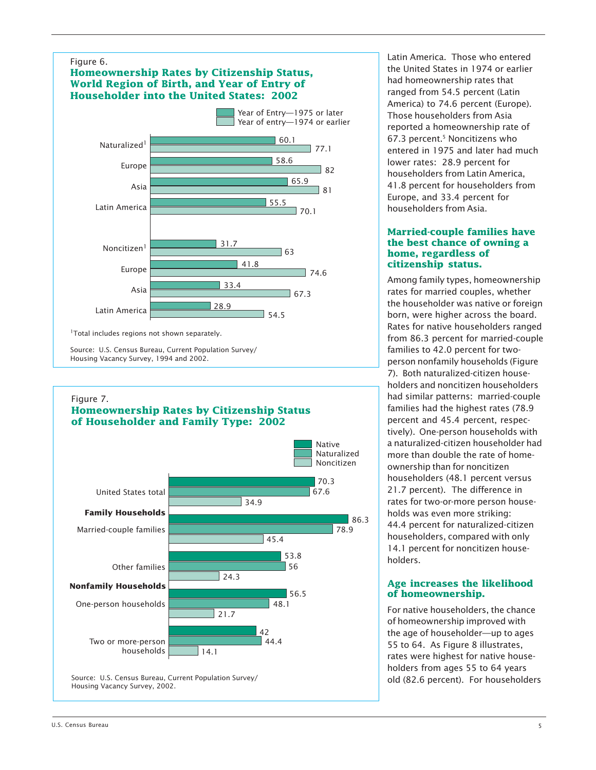# Figure 6.

# **Homeownership Rates by Citizenship Status, World Region of Birth, and Year of Entry of Householder into the United States: 2002**



<sup>1</sup>Total includes regions not shown separately.

Source: U.S. Census Bureau, Current Population Survey/ Housing Vacancy Survey, 1994 and 2002.

#### Figure 7.

## **Homeownership Rates by Citizenship Status of Householder and Family Type: 2002**



Latin America. Those who entered the United States in 1974 or earlier had homeownership rates that ranged from 54.5 percent (Latin America) to 74.6 percent (Europe). Those householders from Asia reported a homeownership rate of 67.3 percent.5 Noncitizens who entered in 1975 and later had much lower rates: 28.9 percent for householders from Latin America, 41.8 percent for householders from Europe, and 33.4 percent for householders from Asia.

#### **Married-couple families have the best chance of owning a home, regardless of citizenship status.**

Among family types, homeownership rates for married couples, whether the householder was native or foreign born, were higher across the board. Rates for native householders ranged from 86.3 percent for married-couple families to 42.0 percent for twoperson nonfamily households (Figure 7). Both naturalized-citizen householders and noncitizen householders had similar patterns: married-couple families had the highest rates (78.9) percent and 45.4 percent, respectively). One-person households with a naturalized-citizen householder had more than double the rate of homeownership than for noncitizen householders (48.1 percent versus 21.7 percent). The difference in rates for two-or-more person households was even more striking: 44.4 percent for naturalized-citizen householders, compared with only 14.1 percent for noncitizen householders.

## **Age increases the likelihood of homeownership.**

For native householders, the chance of homeownership improved with the age of householder—up to ages 55 to 64. As Figure 8 illustrates, rates were highest for native householders from ages 55 to 64 years old (82.6 percent). For householders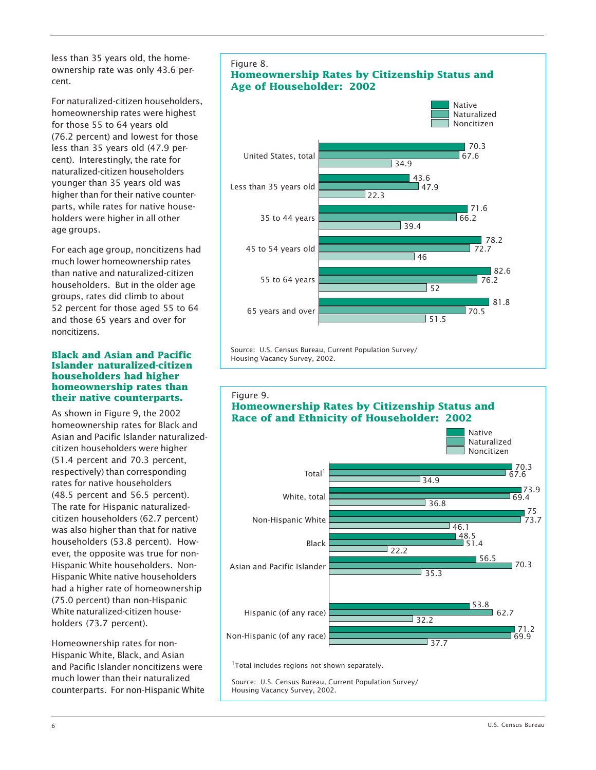less than 35 years old, the homeownership rate was only 43.6 percent.

For naturalized-citizen householders, homeownership rates were highest for those 55 to 64 years old (76.2 percent) and lowest for those less than 35 years old (47.9 percent). Interestingly, the rate for naturalized-citizen householders younger than 35 years old was higher than for their native counterparts, while rates for native householders were higher in all other age groups.

For each age group, noncitizens had much lower homeownership rates than native and naturalized-citizen householders. But in the older age groups, rates did climb to about 52 percent for those aged 55 to 64 and those 65 years and over for noncitizens.

#### **Black and Asian and Pacific Islander naturalized-citizen householders had higher homeownership rates than their native counterparts.**

As shown in Figure 9, the 2002 homeownership rates for Black and Asian and Pacific Islander naturalizedcitizen householders were higher (51.4 percent and 70.3 percent, respectively) than corresponding rates for native householders (48.5 percent and 56.5 percent). The rate for Hispanic naturalizedcitizen householders (62.7 percent) was also higher than that for native householders (53.8 percent). However, the opposite was true for non-Hispanic White householders. Non-Hispanic White native householders had a higher rate of homeownership (75.0 percent) than non-Hispanic White naturalized-citizen householders (73.7 percent).

Homeownership rates for non-Hispanic White, Black, and Asian and Pacific Islander noncitizens were much lower than their naturalized counterparts. For non-Hispanic White



Source: U.S. Census Bureau, Current Population Survey/ Housing Vacancy Survey, 2002.

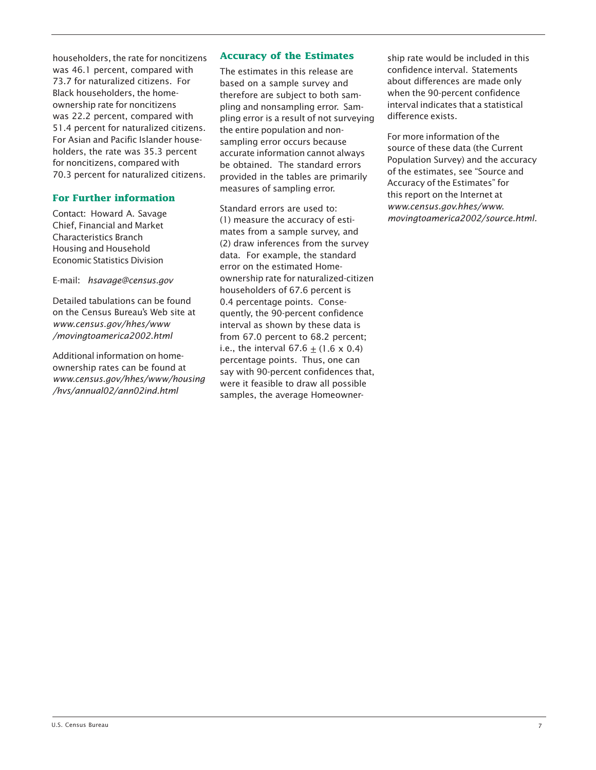householders, the rate for noncitizens was 46.1 percent, compared with 73.7 for naturalized citizens. For Black householders, the homeownership rate for noncitizens was 22.2 percent, compared with 51.4 percent for naturalized citizens. For Asian and Pacific Islander householders, the rate was 35.3 percent for noncitizens, compared with 70.3 percent for naturalized citizens.

# **For Further information**

Contact: Howard A. Savage Chief, Financial and Market Characteristics Branch Housing and Household Economic Statistics Division

E-mail: *hsavage@census.gov*

Detailed tabulations can be found on the Census Bureau's Web site at *www.census.gov/hhes/www /movingtoamerica2002.html*

Additional information on homeownership rates can be found at *www.census.gov/hhes/www/housing /hvs/annual02/ann02ind.html*

#### **Accuracy of the Estimates**

The estimates in this release are based on a sample survey and therefore are subject to both sampling and nonsampling error. Sampling error is a result of not surveying the entire population and nonsampling error occurs because accurate information cannot always be obtained. The standard errors provided in the tables are primarily measures of sampling error.

Standard errors are used to: (1) measure the accuracy of estimates from a sample survey, and (2) draw inferences from the survey data. For example, the standard error on the estimated Homeownership rate for naturalized-citizen householders of 67.6 percent is 0.4 percentage points. Consequently, the 90-percent confidence interval as shown by these data is from 67.0 percent to 68.2 percent; i.e., the interval  $67.6 + (1.6 \times 0.4)$ percentage points. Thus, one can say with 90-percent confidences that, were it feasible to draw all possible samples, the average Homeownership rate would be included in this confidence interval. Statements about differences are made only when the 90-percent confidence interval indicates that a statistical difference exists.

For more information of the source of these data (the Current Population Survey) and the accuracy of the estimates, see "Source and Accuracy of the Estimates" for this report on the Internet at *www.census.gov.hhes/www. movingtoamerica2002/source.html.*